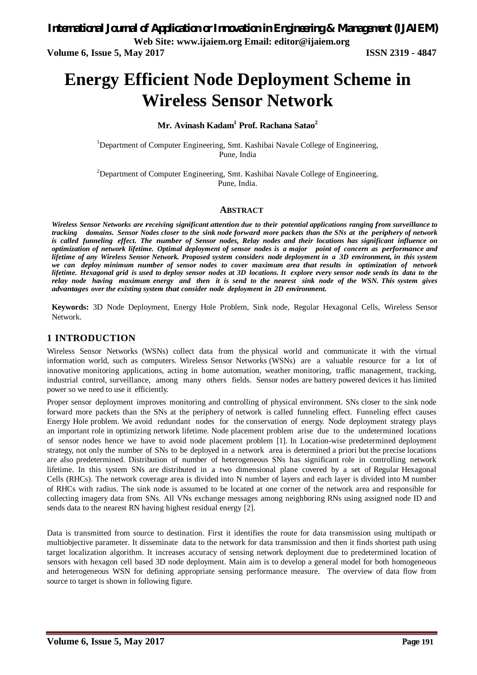**Volume 6, Issue 5, May 2017 ISSN 2319 - 4847**

# **Energy Efficient Node Deployment Scheme in Wireless Sensor Network**

**Mr. Avinash Kadam<sup>1</sup> Prof. Rachana Satao<sup>2</sup>**

<sup>1</sup>Department of Computer Engineering, Smt. Kashibai Navale College of Engineering, Pune, India

<sup>2</sup>Department of Computer Engineering, Smt. Kashibai Navale College of Engineering, Pune, India.

## **ABSTRACT**

*Wireless Sensor Networks are receiving significant attention due to their potential applications ranging from surveillance to tracking domains. Sensor Nodes closer to the sink node forward more packets than the SNs at the periphery of network is called funneling effect. The number of Sensor nodes, Relay nodes and their locations has significant influence on optimization of network lifetime. Optimal deployment of sensor nodes is a major point of concern as performance and lifetime of any Wireless Sensor Network. Proposed system considers node deployment in a 3D environment, in this system we can deploy minimum number of sensor nodes to cover maximum area that results in optimization of network* lifetime. Hexagonal grid is used to deploy sensor nodes at 3D locations. It explore every sensor node sends its data to the *relay node having maximum energy and then it is send to the nearest sink node of the WSN. This system gives advantages over the existing system that consider node deployment in 2D environment.*

**Keywords:** 3D Node Deployment, Energy Hole Problem, Sink node, Regular Hexagonal Cells, Wireless Sensor Network.

## **1 INTRODUCTION**

Wireless Sensor Networks (WSNs) collect data from the physical world and communicate it with the virtual information world, such as computers. Wireless Sensor Networks (WSNs) are a valuable resource for a lot of innovative monitoring applications, acting in home automation, weather monitoring, traffic management, tracking, industrial control, surveillance, among many others fields. Sensor nodes are battery powered devices it has limited power so we need to use it efficiently.

Proper sensor deployment improves monitoring and controlling of physical environment. SNs closer to the sink node forward more packets than the SNs at the periphery of network is called funneling effect. Funneling effect causes Energy Hole problem. We avoid redundant nodes for the conservation of energy. Node deployment strategy plays an important role in optimizing network lifetime. Node placement problem arise due to the undetermined locations of sensor nodes hence we have to avoid node placement problem [1]. In Location-wise predetermined deployment strategy, not only the number of SNs to be deployed in a network area is determined a priori but the precise locations are also predetermined. Distribution of number of heterogeneous SNs has significant role in controlling network lifetime. In this system SNs are distributed in a two dimensional plane covered by a set of Regular Hexagonal Cells (RHCs). The network coverage area is divided into N number of layers and each layer is divided into M number of RHCs with radius. The sink node is assumed to be located at one corner of the network area and responsible for collecting imagery data from SNs. All VNs exchange messages among neighboring RNs using assigned node ID and sends data to the nearest RN having highest residual energy [2].

Data is transmitted from source to destination. First it identifies the route for data transmission using multipath or multiobjective parameter. It disseminate data to the network for data transmission and then it finds shortest path using target localization algorithm. It increases accuracy of sensing network deployment due to predetermined location of sensors with hexagon cell based 3D node deployment. Main aim is to develop a general model for both homogeneous and heterogeneous WSN for defining appropriate sensing performance measure. The overview of data flow from source to target is shown in following figure.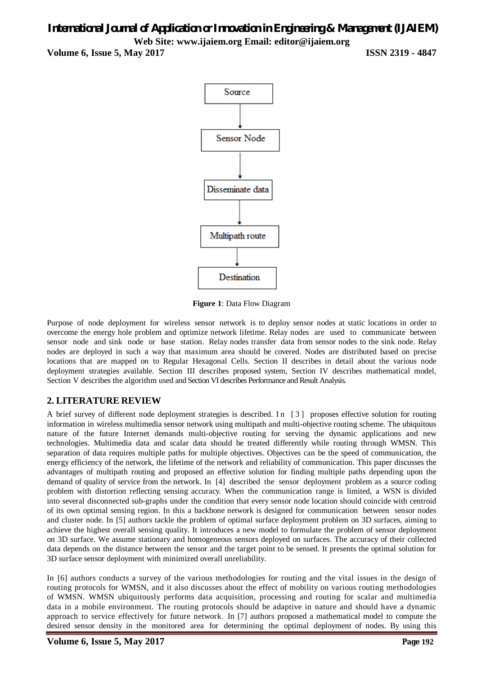**Volume 6, Issue 5, May 2017 ISSN 2319 - 4847** 



**Figure 1**: Data Flow Diagram

Purpose of node deployment for wireless sensor network is to deploy sensor nodes at static locations in order to overcome the energy hole problem and optimize network lifetime. Relay nodes are used to communicate between sensor node and sink node or base station. Relay nodes transfer data from sensor nodes to the sink node. Relay nodes are deployed in such a way that maximum area should be covered. Nodes are distributed based on precise locations that are mapped on to Regular Hexagonal Cells. Section II describes in detail about the various node deployment strategies available. Section III describes proposed system, Section IV describes mathematical model, Section V describes the algorithm used and Section VI describes Performance and Result Analysis.

## **2. LITERATURE REVIEW**

A brief survey of different node deployment strategies is described. In [3] proposes effective solution for routing information in wireless multimedia sensor network using multipath and multi-objective routing scheme. The ubiquitous nature of the future Internet demands multi-objective routing for serving the dynamic applications and new technologies. Multimedia data and scalar data should be treated differently while routing through WMSN. This separation of data requires multiple paths for multiple objectives. Objectives can be the speed of communication, the energy efficiency of the network, the lifetime of the network and reliability of communication. This paper discusses the advantages of multipath routing and proposed an effective solution for finding multiple paths depending upon the demand of quality of service from the network. In [4] described the sensor deployment problem as a source coding problem with distortion reflecting sensing accuracy. When the communication range is limited, a WSN is divided into several disconnected sub-graphs under the condition that every sensor node location should coincide with centroid of its own optimal sensing region. In this a backbone network is designed for communication between sensor nodes and cluster node. In [5] authors tackle the problem of optimal surface deployment problem on 3D surfaces, aiming to achieve the highest overall sensing quality. It introduces a new model to formulate the problem of sensor deployment on 3D surface. We assume stationary and homogeneous sensors deployed on surfaces. The accuracy of their collected data depends on the distance between the sensor and the target point to be sensed. It presents the optimal solution for 3D surface sensor deployment with minimized overall unreliability.

In [6] authors conducts a survey of the various methodologies for routing and the vital issues in the design of routing protocols for WMSN, and it also discusses about the effect of mobility on various routing methodologies of WMSN. WMSN ubiquitously performs data acquisition, processing and routing for scalar and multimedia data in a mobile environment. The routing protocols should be adaptive in nature and should have a dynamic approach to service effectively for future network. In [7] authors proposed a mathematical model to compute the desired sensor density in the monitored area for determining the optimal deployment of nodes. By using this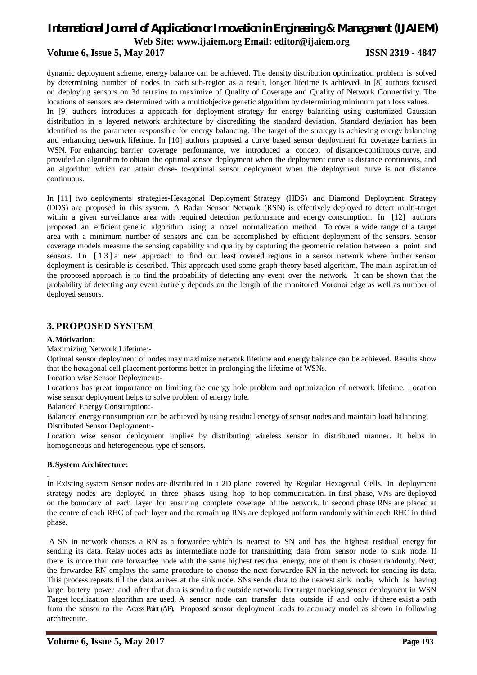## **Volume 6, Issue 5, May 2017 ISSN 2319 - 4847**

dynamic deployment scheme, energy balance can be achieved. The density distribution optimization problem is solved by determining number of nodes in each sub-region as a result, longer lifetime is achieved. In [8] authors focused on deploying sensors on 3d terrains to maximize of Quality of Coverage and Quality of Network Connectivity. The locations of sensors are determined with a multiobjecive genetic algorithm by determining minimum path loss values. In [9] authors introduces a approach for deployment strategy for energy balancing using customized Gaussian distribution in a layered network architecture by discrediting the standard deviation. Standard deviation has been identified as the parameter responsible for energy balancing. The target of the strategy is achieving energy balancing and enhancing network lifetime. In [10] authors proposed a curve based sensor deployment for coverage barriers in WSN. For enhancing barrier coverage performance, we introduced a concept of distance-continuous curve, and provided an algorithm to obtain the optimal sensor deployment when the deployment curve is distance continuous, and an algorithm which can attain close- to-optimal sensor deployment when the deployment curve is not distance continuous.

In [11] two deployments strategies-Hexagonal Deployment Strategy (HDS) and Diamond Deployment Strategy (DDS) are proposed in this system. A Radar Sensor Network (RSN) is effectively deployed to detect multi-target within a given surveillance area with required detection performance and energy consumption. In [12] authors proposed an efficient genetic algorithm using a novel normalization method. To cover a wide range of a target area with a minimum number of sensors and can be accomplished by efficient deployment of the sensors. Sensor coverage models measure the sensing capability and quality by capturing the geometric relation between a point and sensors. In [13] a new approach to find out least covered regions in a sensor network where further sensor deployment is desirable is described. This approach used some graph-theory based algorithm. The main aspiration of the proposed approach is to find the probability of detecting any event over the network. It can be shown that the probability of detecting any event entirely depends on the length of the monitored Voronoi edge as well as number of deployed sensors.

## **3. PROPOSED SYSTEM**

#### **A.Motivation:**

Maximizing Network Lifetime:-

Optimal sensor deployment of nodes may maximize network lifetime and energy balance can be achieved. Results show that the hexagonal cell placement performs better in prolonging the lifetime of WSNs.

Location wise Sensor Deployment:-

Locations has great importance on limiting the energy hole problem and optimization of network lifetime. Location wise sensor deployment helps to solve problem of energy hole.

Balanced Energy Consumption:-

Balanced energy consumption can be achieved by using residual energy of sensor nodes and maintain load balancing. Distributed Sensor Deployment:-

Location wise sensor deployment implies by distributing wireless sensor in distributed manner. It helps in homogeneous and heterogeneous type of sensors.

#### **B.System Architecture:**

.

In Existing system Sensor nodes are distributed in a 2D plane covered by Regular Hexagonal Cells. In deployment strategy nodes are deployed in three phases using hop to hop communication. In first phase, VNs are deployed on the boundary of each layer for ensuring complete coverage of the network. In second phase RNs are placed at the centre of each RHC of each layer and the remaining RNs are deployed uniform randomly within each RHC in third phase.

A SN in network chooses a RN as a forwardee which is nearest to SN and has the highest residual energy for sending its data. Relay nodes acts as intermediate node for transmitting data from sensor node to sink node. If there is more than one forwardee node with the same highest residual energy, one of them is chosen randomly. Next, the forwardee RN employs the same procedure to choose the next forwardee RN in the network for sending its data. This process repeats till the data arrives at the sink node. SNs sends data to the nearest sink node, which is having large battery power and after that data is send to the outside network. For target tracking sensor deployment in WSN Target localization algorithm are used. A sensor node can transfer data outside if and only if there exist a path from the sensor to the Access Point (AP). Proposed sensor deployment leads to accuracy model as shown in following architecture.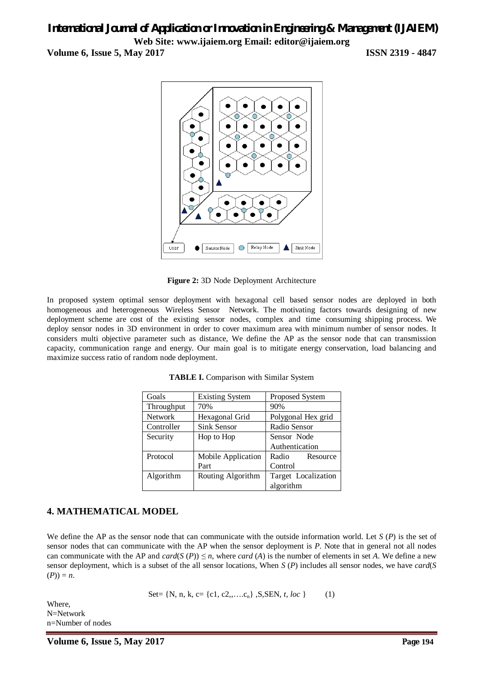**Volume 6, Issue 5, May 2017 ISSN 2319 - 4847**



**Figure 2:** 3D Node Deployment Architecture

In proposed system optimal sensor deployment with hexagonal cell based sensor nodes are deployed in both homogeneous and heterogeneous Wireless Sensor Network. The motivating factors towards designing of new deployment scheme are cost of the existing sensor nodes, complex and time consuming shipping process. We deploy sensor nodes in 3D environment in order to cover maximum area with minimum number of sensor nodes. It considers multi objective parameter such as distance, We define the AP as the sensor node that can transmission capacity, communication range and energy. Our main goal is to mitigate energy conservation, load balancing and maximize success ratio of random node deployment.

| Goals          | <b>Existing System</b> | Proposed System     |
|----------------|------------------------|---------------------|
| Throughput     | 70%                    | 90%                 |
| <b>Network</b> | Hexagonal Grid         | Polygonal Hex grid  |
| Controller     | Sink Sensor            | Radio Sensor        |
| Security       | Hop to Hop             | Sensor Node         |
|                |                        | Authentication      |
| Protocol       | Mobile Application     | Radio<br>Resource   |
|                | Part                   | Control             |
| Algorithm      | Routing Algorithm      | Target Localization |
|                |                        | algorithm           |

**TABLE I.** Comparison with Similar System

## **4. MATHEMATICAL MODEL**

We define the AP as the sensor node that can communicate with the outside information world. Let *S* (*P*) is the set of sensor nodes that can communicate with the AP when the sensor deployment is *P*. Note that in general not all nodes can communicate with the AP and  $card(S(P)) \leq n$ , where *card* (*A*) is the number of elements in set *A*. We define a new sensor deployment, which is a subset of the all sensor locations, When *S* (*P*) includes all sensor nodes, we have *card*(*S*  $(P) = n$ .

Set= {N, n, k, c= {c1, c2,,….cn} ,S,SEN, *t, loc* } (1)

Where, N=Network n=Number of nodes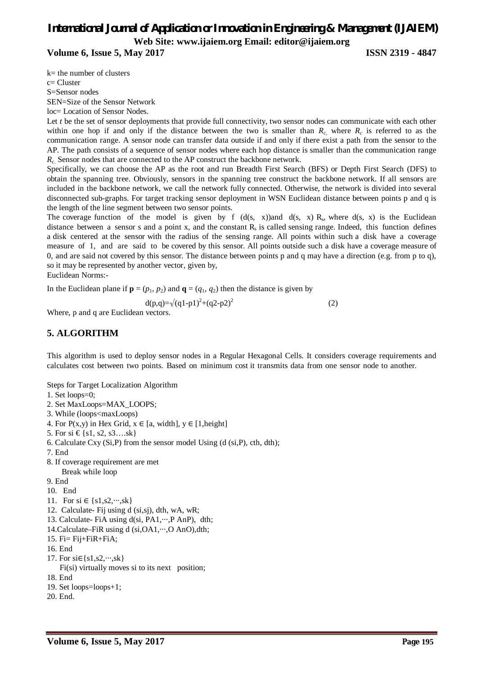**Volume 6, Issue 5, May 2017 ISSN 2319 - 4847**

k= the number of clusters

c= Cluster

S=Sensor nodes

SEN=Size of the Sensor Network

loc= Location of Sensor Nodes.

Let *t* be the set of sensor deployments that provide full connectivity, two sensor nodes can communicate with each other within one hop if and only if the distance between the two is smaller than  $R_c$ , where  $R_c$  is referred to as the communication range. A sensor node can transfer data outside if and only if there exist a path from the sensor to the AP. The path consists of a sequence of sensor nodes where each hop distance is smaller than the communication range *R<sup>c</sup>*. Sensor nodes that are connected to the AP construct the backbone network.

Specifically, we can choose the AP as the root and run Breadth First Search (BFS) or Depth First Search (DFS) to obtain the spanning tree. Obviously, sensors in the spanning tree construct the backbone network. If all sensors are included in the backbone network, we call the network fully connected. Otherwise, the network is divided into several disconnected sub-graphs. For target tracking sensor deployment in WSN Euclidean distance between points p and q is the length of the line segment between two sensor points.

The coverage function of the model is given by f  $(d(s, x))$  and  $d(s, x)$  R<sub>s</sub>, where  $d(s, x)$  is the Euclidean distance between a sensor s and a point x, and the constant  $R_s$  is called sensing range. Indeed, this function defines a disk centered at the sensor with the radius of the sensing range. All points within such a disk have a coverage measure of 1, and are said to be covered by this sensor. All points outside such a disk have a coverage measure of 0, and are said not covered by this sensor. The distance between points p and q may have a direction (e.g. from p to q), so it may be represented by another vector, given by,

Euclidean Norms:-

In the Euclidean plane if  $\mathbf{p} = (p_1, p_2)$  and  $\mathbf{q} = (q_1, q_2)$  then the distance is given by

$$
d(p,q) = \sqrt{(q1-p1)^2 + (q2-p2)^2}
$$
 (2)

Where, p and q are Euclidean vectors.

## **5. ALGORITHM**

This algorithm is used to deploy sensor nodes in a Regular Hexagonal Cells. It considers coverage requirements and calculates cost between two points. Based on minimum cost it transmits data from one sensor node to another.

Steps for Target Localization Algorithm

- 1. Set loops=0;
- 2. Set MaxLoops=MAX\_LOOPS;
- 3. While (loops<maxLoops)
- 4. For  $P(x,y)$  in Hex Grid,  $x \in [a, width]$ ,  $y \in [1, height]$
- 5. For si  $\{\$1, s2, s3...sk\}$
- 6. Calculate Cxy  $(Si, P)$  from the sensor model Using  $(d (si, P), ch, dth);$
- 7. End
- 8. If coverage requirement are met Break while loop
- 9. End
- 10. End
- 11. For si ∈ {s1,s2,…,sk}
- 12. Calculate- Fij using d (si,sj), dth, wA, wR;
- 13. Calculate- FiA using d(si, PA1,···,P AnP), dth;
- 14.Calculate–FiR using d (si,OA1,...,O AnO),dth;
- 15. Fi= Fij+FiR+FiA;
- 16. End
- 17. For  $si \in \{s1, s2, \dots, sk\}$
- Fi(si) virtually moves si to its next position;
- 18. End
- 19. Set loops=loops+1;
- 20. End.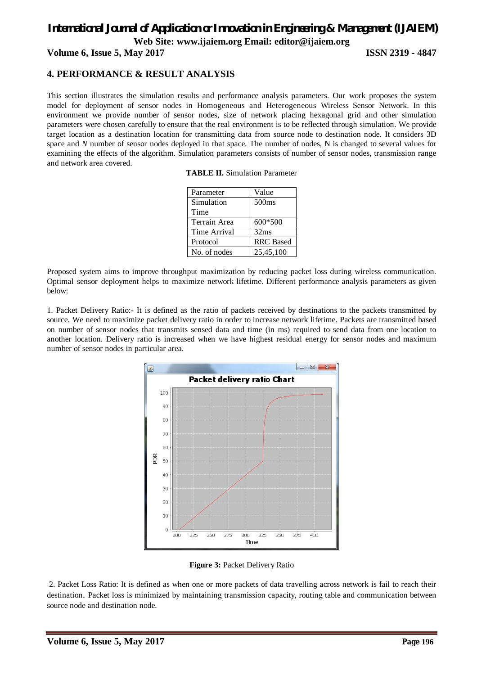**Volume 6, Issue 5, May 2017 ISSN 2319 - 4847**

## **4. PERFORMANCE & RESULT ANALYSIS**

This section illustrates the simulation results and performance analysis parameters. Our work proposes the system model for deployment of sensor nodes in Homogeneous and Heterogeneous Wireless Sensor Network. In this environment we provide number of sensor nodes, size of network placing hexagonal grid and other simulation parameters were chosen carefully to ensure that the real environment is to be reflected through simulation. We provide target location as a destination location for transmitting data from source node to destination node. It considers 3D space and *N* number of sensor nodes deployed in that space. The number of nodes, N is changed to several values for examining the effects of the algorithm. Simulation parameters consists of number of sensor nodes, transmission range and network area covered.

| <b>TABLE II.</b> Simulation Parameter |  |  |
|---------------------------------------|--|--|
|---------------------------------------|--|--|

| Parameter           | Value             |
|---------------------|-------------------|
| Simulation          | 500 <sub>ms</sub> |
| Time                |                   |
| Terrain Area        | 600*500           |
| <b>Time Arrival</b> | 32ms              |
| Protocol            | <b>RRC</b> Based  |
| No. of nodes        | 25,45,100         |

Proposed system aims to improve throughput maximization by reducing packet loss during wireless communication. Optimal sensor deployment helps to maximize network lifetime. Different performance analysis parameters as given below:

1. Packet Delivery Ratio:- It is defined as the ratio of packets received by destinations to the packets transmitted by source. We need to maximize packet delivery ratio in order to increase network lifetime. Packets are transmitted based on number of sensor nodes that transmits sensed data and time (in ms) required to send data from one location to another location. Delivery ratio is increased when we have highest residual energy for sensor nodes and maximum number of sensor nodes in particular area.



**Figure 3:** Packet Delivery Ratio

2. Packet Loss Ratio: It is defined as when one or more packets of data travelling across network is fail to reach their destination. Packet loss is minimized by maintaining transmission capacity, routing table and communication between source node and destination node.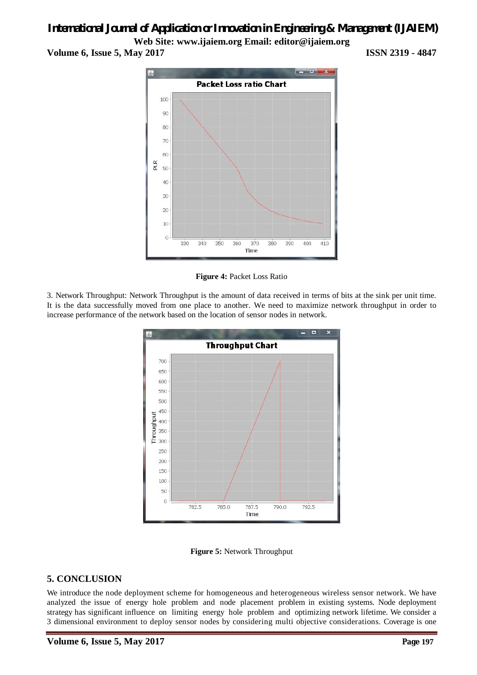## *International Journal of Application or Innovation in Engineering & Management (IJAIEM)*

**Web Site: www.ijaiem.org Email: editor@ijaiem.org Volume 6, Issue 5, May 2017 ISSN 2319 - 4847**



**Figure 4:** Packet Loss Ratio

3. Network Throughput: Network Throughput is the amount of data received in terms of bits at the sink per unit time. It is the data successfully moved from one place to another. We need to maximize network throughput in order to increase performance of the network based on the location of sensor nodes in network.





## **5. CONCLUSION**

We introduce the node deployment scheme for homogeneous and heterogeneous wireless sensor network. We have analyzed the issue of energy hole problem and node placement problem in existing systems. Node deployment strategy has significant influence on limiting energy hole problem and optimizing network lifetime. We consider a 3 dimensional environment to deploy sensor nodes by considering multi objective considerations. Coverage is one